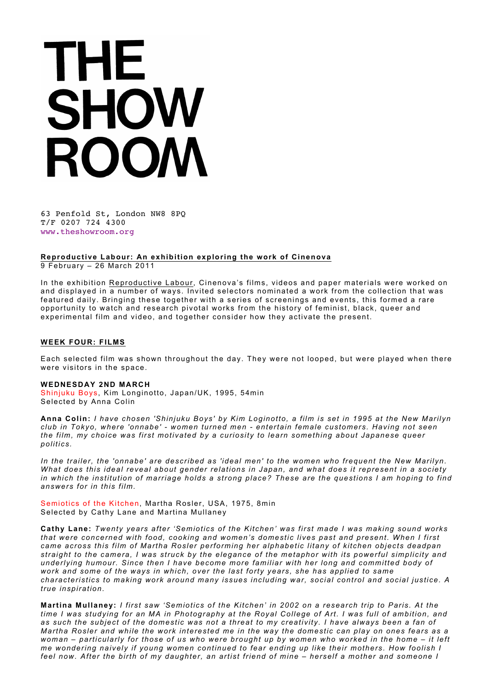63 Penfold St, London NW8 8PQ T/F 0207 724 4300 www.theshowroom.org

**Reproductive Labour: An exhibition exploring the work of Cinenova**

9 February – 26 March 2011

In the exhibition Reproductive Labour, Cinenova's films, videos and paper materials were worked on and displayed in a number of ways. Invited selectors nominated a work from the collection that was featured daily. Bringing these together with a series of screenings and events, this formed a rare opportunity to watch and research pivotal works from the history of feminist, black, queer and experimental film and video, and together consider how they activate the present.

#### **WEEK FOUR: FILMS**

Each selected film was shown throughout the day. They were not looped, but were played when there were visitors in the space.

#### **WEDNESDAY 2ND MARCH**

Shinjuku Boys, Kim Longinotto, Japan/UK, 1995, 54min Selected by Anna Colin

**Anna Colin:** *I have chosen 'Shinjuku Boys' by Kim Loginotto, a film is set in 1995 at the New Marilyn club in Tokyo, where 'onnabe' - women turned men - entertain female customers. Having not seen the film, my choice was first motivated by a curiosity to learn something about Japanese queer politics.* 

In the trailer, the 'onnabe' are described as 'ideal men' to the women who frequent the New Marilyn. *What does this ideal reveal about gender relations in Japan, and what does it represent in a society in which the institution of marriage holds a strong place? These are the questions I am hoping to find answers for in this film.*

Semiotics of the Kitchen, Martha Rosler, USA, 1975, 8min Selected by Cathy Lane and Martina Mullaney

**Cathy Lane:** *Twenty years after 'Semiotics of the Kitchen' was first made I was making sound works that were concerned with food, cooking and women's domestic lives past and present. When I first came across this film of Martha Rosler performing her alphabetic litany of kitchen objects deadpan straight to the camera, I was struck by the elegance of the metaphor with its powerful simplicity and underlying humour. Since then I have become more familiar with her long and committed body of work and some of the ways in which, over the last forty years, she has applied to same characteristics to making work around many issues including war, social control and social justice. A true inspiration.*

**Martina Mullaney:** *I first saw 'Semiotics of the Kitchen' in 2002 on a research trip to Paris. At the time I was studying for an MA in Photography at the Royal College of Art. I was full of ambition, and as such the subject of the domestic was not a threat to my creativity. I have always been a fan of Martha Rosler and while the work interested me in the way the domestic can play on ones fears as a woman – particularly for those of us who were brought up by women who worked in the home – it left me wondering naively if young women continued to fear ending up like their mothers. How foolish I feel now. After the birth of my daughter, an artist friend of mine – herself a mother and someone I*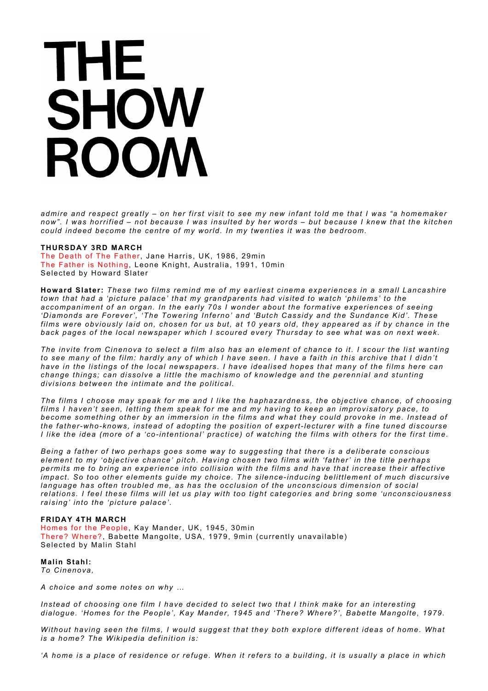*admire and respect greatly – on her first visit to see my new infant told me that I was "a homemaker now". I was horrified – not because I was insulted by her words – but because I knew that the kitchen could indeed become the centre of my world. In my twenties it was the bedroom.* 

### **THURSDAY 3RD MARCH**

The Death of The Father, Jane Harris, UK, 1986, 29min The Father is Nothing, Leone Knight, Australia, 1991, 10min Selected by Howard Slater

**Howard Slater:** *These two films remind me of my earliest cinema experiences in a small Lancashire town that had a 'picture palace' that my grandparents had visited to watch 'philems' to the accompaniment of an organ. In the early 70s I wonder about the formative experiences of seeing 'Diamonds are Forever', 'The Towering Inferno' and 'Butch Cassidy and the Sundance Kid'. These films were obviously laid on, chosen for us but, at 10 years old, they appeared as if by chance in the back pages of the local newspaper which I scoured every Thursday to see what was on next week.*

*The invite from Cinenova to select a film also has an element of chance to it. I scour the list wanting to see many of the film: hardly any of which I have seen. I have a faith in this archive that I didn't have in the listings of the local newspapers. I have idealised hopes that many of the films here can change things; can dissolve a little the machismo of knowledge and the perennial and stunting divisions between the intimate and the political.*

*The films I choose may speak for me and I like the haphazardness, the objective chance, of choosing films I haven't seen, letting them speak for me and my having to keep an improvisatory pace, to become something other by an immersion in the films and what they could provoke in me. Instead of the father-who-knows, instead of adopting the position of expert-lecturer with a fine tuned discourse I like the idea (more of a 'co-intentional' practice) of watching the films with others for the first time.*

*Being a father of two perhaps goes some way to suggesting that there is a deliberate conscious element to my 'objective chance' pitch. Having chosen two films with 'father' in the title perhaps permits me to bring an experience into collision with the films and have that increase their affective impact. So too other elements guide my choice. The silence-inducing belittlement of much discursive*  language has often troubled me, as has the occlusion of the unconscious dimension of social *relations. I feel these films will let us play with too tight categories and bring some 'unconsciousness raising' into the 'picture palace'.* 

#### **FRIDAY 4TH MARCH** Homes for the People, Kay Mander, UK, 1945, 30min There? Where?, Babette Mangolte, USA, 1979, 9min (currently unavailable) Selected by Malin Stahl

### **Malin Stahl:** *To Cinenova,*

*A choice and some notes on why …*

*Instead of choosing one film I have decided to select two that I think make for an interesting dialogue. 'Homes for the People', Kay Mander, 1945 and 'There? Where?', Babette Mangolte, 1979.* 

*Without having seen the films, I would suggest that they both explore different ideas of home. What is a home? The Wikipedia definition is:*

*'A home is a place of residence or refuge. When it refers to a building, it is usually a place in which*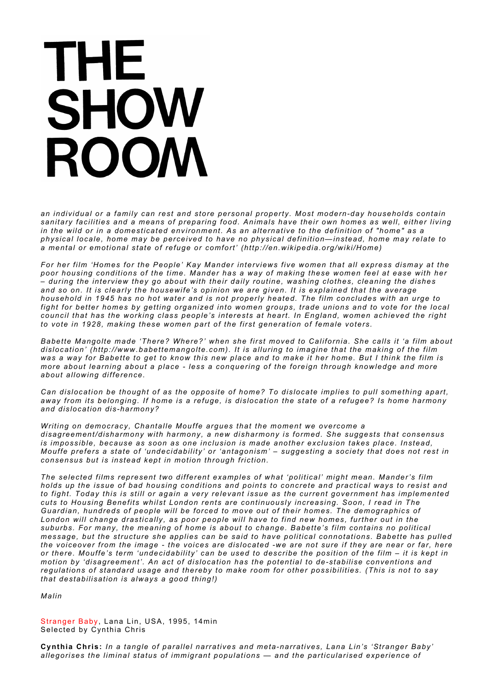*an individual or a family can rest and store personal property. Most modern-day households contain sanitary facilities and a means of preparing food. Animals have their own homes as well, either living in the wild or in a domesticated environment. As an alternative to the definition of "home" as a physical locale, home may be perceived to have no physical definition—instead, home may relate to a mental or emotional state of refuge or comfort' (http://en.wikipedia.org/wiki/Home)*

*For her film 'Homes for the People' Kay Mander interviews five women that all express dismay at the poor housing conditions of the time. Mander has a way of making these women feel at ease with her – during the interview they go about with their daily routine, washing clothes, cleaning the dishes and so on. It is clearly the housewife's opinion we are given. It is explained that the average household in 1945 has no hot water and is not properly heated. The film concludes with an urge to fight for better homes by getting organized into women groups, trade unions and to vote for the local council that has the working class people's interests at heart. In England, women achieved the right to vote in 1928, making these women part of the first generation of female voters.* 

*Babette Mangolte made 'There? Where?' when she first moved to California. She calls it 'a film about dislocation' (http://www.babettemangolte.com). It is alluring to imagine that the making of the film was a way for Babette to get to know this new place and to make it her home. But I think the film is more about learning about a place - less a conquering of the foreign through knowledge and more about allowing difference.* 

*Can dislocation be thought of as the opposite of home? To dislocate implies to pull something apart, away from its belonging. If home is a refuge, is dislocation the state of a refugee? Is home harmony and dislocation dis-harmony?* 

*Writing on democracy, Chantalle Mouffe argues that the moment we overcome a disagreement/disharmony with harmony, a new disharmony is formed. She suggests that consensus is impossible, because as soon as one inclusion is made another exclusion takes place. Instead, Mouffe prefers a state of 'undecidability' or 'antagonism' – suggesting a society that does not rest in consensus but is instead kept in motion through friction.* 

*The selected films represent two different examples of what 'political' might mean. Mander's film holds up the issue of bad housing conditions and points to concrete and practical ways to resist and to fight. Today this is still or again a very relevant issue as the current government has implemented cuts to Housing Benefits whilst London rents are continuously increasing. Soon, I read in The Guardian, hundreds of people will be forced to move out of their homes. The demographics of London will change drastically, as poor people will have to find new homes, further out in the suburbs. For many, the meaning of home is about to change. Babette's film contains no political message, but the structure she applies can be said to have political connotations. Babette has pulled the voiceover from the image - the voices are dislocated -we are not sure if they are near or far, here or there. Mouffe's term 'undecidability' can be used to describe the position of the film – it is kept in motion by 'disagreement'. An act of dislocation has the potential to de-stabil ise conventions and regulations of standard usage and thereby to make room for other possibilities. (This is not to say that destabilisation is always a good thing!)*

*Malin*

Stranger Baby, Lana Lin, USA, 1995, 14min Selected by Cynthia Chris

**Cynthia Chris:** *In a tangle of parallel narratives and meta-narratives, Lana Lin's 'Stranger Baby' allegorises the liminal status of immigrant populations — and the particularised experience of*